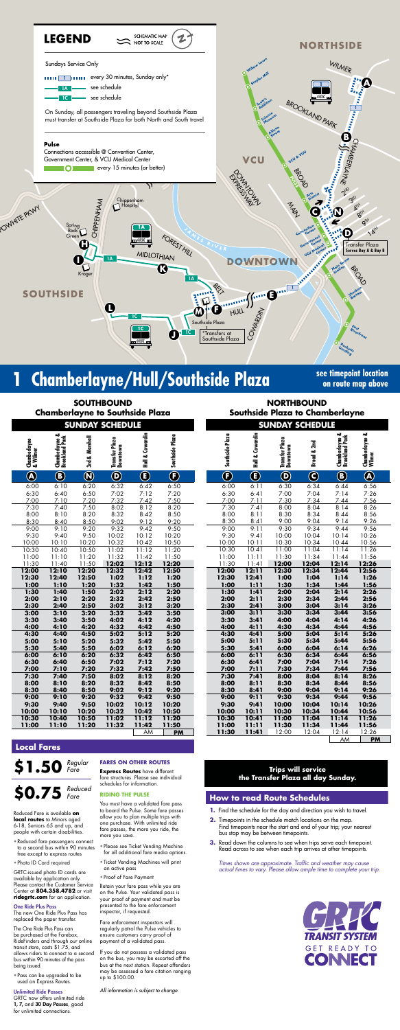

### **Chamberlayne/Hull/Southside Plaza See timepoint location**

**on route map above**

#### **Trips will service the Transfer Plaza all day Sunday.**

| <b>NORTHBOUND</b>               |  |  |  |  |  |  |  |  |
|---------------------------------|--|--|--|--|--|--|--|--|
| Southside Plaza to Chamberlayne |  |  |  |  |  |  |  |  |

| <b>SOUTHBOUND</b><br><b>Chamberlayne to Southside Plaza</b><br><b>SUNDAY SCHEDULE</b> |                                  |                         |                            |                             |                          |                          |                          | <b>NORTHBOUND</b><br>Southside Plaza to Chamberlayne<br><b>SUNDAY SCHEDULE</b> |                         |                                  |                          |
|---------------------------------------------------------------------------------------|----------------------------------|-------------------------|----------------------------|-----------------------------|--------------------------|--------------------------|--------------------------|--------------------------------------------------------------------------------|-------------------------|----------------------------------|--------------------------|
|                                                                                       |                                  |                         |                            |                             |                          |                          |                          |                                                                                |                         |                                  |                          |
| Chamberlayne<br>& Wilmer                                                              | Chamberlayne &<br>Brookland Park | 3rd & Marshall          | Transfer Plaza<br>Downtown | & Cowardin<br>$\frac{1}{2}$ | Southside Plaza          | Southside Plaza          | Hull & Cowardin          | Transfer Plaza<br>Downtown                                                     | Broad & 2nd             | Chamberlayne &<br>Brookland Park | Chamberlayne &<br>Wilmer |
| $\bigcircledA$                                                                        | $\bigcirc$                       | $\overline{\mathbf{Q}}$ | $\overline{\mathbf{O}}$    | $\overline{\mathbf{C}}$     | $\overline{\bm{\Theta}}$ | $\overline{\bm{\Theta}}$ | $\overline{\bm{\Theta}}$ | $\bf \Phi$                                                                     | $\overline{\mathbf{O}}$ | $\bf \bm{\Theta}$                | $\bigcirc$               |
| 6:00                                                                                  | 6:10                             | 6:20                    | 6:32                       | 6:42                        | 6:50                     | 6:00                     | 6:11                     | 6:30                                                                           | 6:34                    | 6:44                             | 6:5                      |
| 6:30                                                                                  | 6:40                             | 6:50                    | 7:02                       | 7:12                        | 7:20                     | 6:30                     | 6:41                     | 7:00                                                                           | 7:04                    | 7:14                             | 7:2                      |
| 7:00                                                                                  | 7:10                             | 7:20                    | 7:32                       | 7:42                        | 7:50                     | 7:00                     | 7:11                     | 7:30                                                                           | 7:34                    | 7:44                             | 7:5                      |
| 7:30                                                                                  | 7:40                             | 7:50                    | 8:02                       | 8:12                        | 8:20                     | 7:30                     | 7:41                     | 8:00                                                                           | 8:04                    | 8:14                             | 8:2                      |
| 8:00                                                                                  | 8:10                             | 8:20                    | 8:32                       | 8:42                        | 8:50                     | 8:00                     | 8:11                     | 8:30                                                                           | 8:34                    | 8:44                             | 8:5                      |
| 8:30                                                                                  | 8:40                             | 8:50                    | 9:02                       | 9:12                        | 9:20                     | 8:30                     | 8:41                     | 9:00                                                                           | 9:04                    | 9:14                             | 9:2                      |
| 9:00                                                                                  | 9:10                             | 9:20                    | 9:32                       | 9:42                        | 9:50                     | 9:00                     | 9:11                     | 9:30                                                                           | 9:34                    | 9:44                             | 9:5                      |
| 9:30                                                                                  | 9:40                             | 9:50                    | 10:02                      | 10:12                       | 10:20                    | 9:30                     | 9:41                     | 10:00                                                                          | 10:04                   | 10:14                            | 10:2                     |
| 10:00                                                                                 | 10:10                            | 10:20                   | 10:32                      | 10:42                       | 10:50                    | 10:00                    | 10:11                    | 10:30                                                                          | 10:34                   | 10:44                            | 10:5                     |
| 10:30                                                                                 | 10:40                            | 10:50                   | 11:02                      | 11:12                       | 11:20                    | 10:30                    | 10:41                    | 11:00                                                                          | 11:04                   | 11:14                            | 11:2                     |
| 11:00                                                                                 | 11:10                            | 11:20                   | 11:32                      | 11:42                       | 11:50                    | 11:00                    | 11:11                    | 11:30                                                                          | 11:34                   | 11:44                            | 11:5                     |
| 11:30                                                                                 | 11:40                            | 11:50                   | 12:02                      | 12:12                       | 12:20                    | 11:30                    | 11:41                    | 12:00                                                                          | 12:04                   | 12:14                            | 12:2                     |
| 12:00                                                                                 | 12:10                            | 12:20                   | 12:32                      | 12:42                       | 12:50                    | 12:00                    | 12:11                    | 12:30                                                                          | 12:34                   | 12:44                            | 12:5                     |
| 12:30                                                                                 | 12:40                            | 12:50                   | 1:02                       | 1:12                        | 1:20                     | 12:30                    | 12:41                    | 1:00                                                                           | 1:04                    | 1:14                             | 1:2                      |
| 1:00                                                                                  | 1:10                             | 1:20                    | 1:32                       | 1:42                        | 1:50                     | 1:00                     | 1:11                     | 1:30                                                                           | 1:34                    | 1:44                             | 1:5                      |
| 1:30<br>2:00                                                                          | 1:40<br>2:10                     | 1:50<br>2:20            | 2:02<br>2:32               | 2:12<br>2:42                | 2:20<br>2:50             | 1:30<br>2:00             | 1:41<br>2:11             | 2:00<br>2:30                                                                   | 2:04<br>2:34            | 2:14<br>2:44                     | 2:2<br>2:5               |
| 2:30                                                                                  | 2:40                             | 2:50                    | 3:02                       | 3:12                        | 3:20                     | 2:30                     | 2:41                     | 3:00                                                                           | 3:04                    | 3:14                             | 3:2                      |
| 3:00                                                                                  | 3:10                             | 3:20                    | 3:32                       | 3:42                        | 3:50                     | 3:00                     | 3:11                     | 3:30                                                                           | 3:34                    | 3:44                             | 3:5                      |
| 3:30                                                                                  | 3:40                             | 3:50                    | 4:02                       | 4:12                        | 4:20                     | 3:30                     | 3:41                     | 4:00                                                                           | 4:04                    | 4:14                             | 4:2                      |
| 4:00                                                                                  | 4:10                             | 4:20                    | 4:32                       | 4:42                        | 4:50                     | 4:00                     | 4:11                     | 4:30                                                                           | 4:34                    | 4:44                             | 4:5                      |
| 4:30                                                                                  | 4:40                             | 4:50                    | 5:02                       | 5:12                        | 5:20                     | 4:30                     | 4:41                     | 5:00                                                                           | 5:04                    | 5:14                             | 5:2                      |
| 5:00                                                                                  | 5:10                             | 5:20                    | 5:32                       | 5:42                        | 5:50                     | 5:00                     | 5:11                     | 5:30                                                                           | 5:34                    | 5:44                             | 5:5                      |
| 5:30                                                                                  | 5:40                             | 5:50                    | 6:02                       | 6:12                        | 6:20                     | 5:30                     | 5:41                     | 6:00                                                                           | 6:04                    | 6:14                             | 6:2                      |
| 6:00                                                                                  | 6:10                             | 6:20                    | 6:32                       | 6:42                        | 6:50                     | 6:00                     | 6:11                     | 6:30                                                                           | 6:34                    | 6:44                             | 6:5                      |
| 6:30                                                                                  | 6:40                             | 6:50                    | 7:02                       | 7:12                        | 7:20                     | 6:30                     | 6:41                     | 7:00                                                                           | 7:04                    | 7:14                             | 7:2                      |
| 7:00                                                                                  | 7:10                             | 7:20                    | 7:32                       | 7:42                        | 7:50                     | 7:00                     | 7:11                     | 7:30                                                                           | 7:34                    | 7:44                             | 7:5                      |
| 7:30                                                                                  | 7:40                             | 7:50                    | 8:02                       | 8:12                        | 8:20                     | 7:30                     | 7:41                     | 8:00                                                                           | 8:04                    | 8:14                             | 8:2                      |
| 8:00                                                                                  | 8:10                             | 8:20                    | 8:32                       | 8:42                        | 8:50                     | 8:00                     | 8:11                     | 8:30                                                                           | 8:34                    | 8:44                             | 8:5                      |
| 8:30                                                                                  | 8:40                             | 8:50                    | 9:02                       | 9:12                        | 9:20                     | 8:30                     | 8:41                     | 9:00                                                                           | 9:04                    | 9:14                             | 9:2                      |
| 9:00                                                                                  | 9:10                             | 9:20                    | 9:32                       | 9:42                        | 9:50                     | 9:00                     | 9:11                     | 9:30                                                                           | 9:34                    | 9:44                             | 9:5                      |
| 9:30                                                                                  | 9:40                             | 9:50                    | 10:02                      | 10:12                       | 10:20                    | 9:30                     | 9:41                     | 10:00                                                                          | 10:04                   | 10:14                            | 10:2                     |
| 10:00                                                                                 | 10:10                            | 10:20                   | 10:32                      | 10:42                       | 10:50                    | 10:00                    | 10:11                    | 10:30                                                                          | 10:34                   | 10:44                            | 10:5                     |
| 10:30                                                                                 | 10:40                            | 10:50                   | 11:02                      | 11:12                       | 11:20                    | 10:30                    | 10:41                    | 11:00                                                                          | 11:04                   | 11:14                            | 11:2                     |
| 11:00                                                                                 | 11:10                            | 11:20                   | 11:32                      | 11:42                       | 11:50                    | 11:00                    | 11:11                    | 11:30                                                                          | 11:34                   | 11:44                            | 11:5                     |
|                                                                                       |                                  |                         |                            | AΜ                          | <b>PM</b>                | 11:30                    | 11:41                    | 12:00                                                                          | 12:04                   | 12:14                            | 12:2                     |

*Times shown are approximate. Traffic and weather may cause actual times to vary. Please allow ample time to complete your trip.*



| <b>SUNDAY SCHEDULE</b>  |                        |                            |                         |                                  |                          |  |  |  |
|-------------------------|------------------------|----------------------------|-------------------------|----------------------------------|--------------------------|--|--|--|
| Southside Plaza         | Hull & Cowardin        | Transfer Plaza<br>Downtown | Broad & 2nd             | Chamberlayne &<br>Brookland Park | Chamberlayne &<br>Wilmer |  |  |  |
| $\overline{\mathbf{F}}$ | $\widehat{\mathbf{E}}$ | $\overline{\mathbf{Q}}$    | $\overline{\textbf{c}}$ | Ġ                                | Q                        |  |  |  |
| 6:00                    | 6:11                   | 6:30                       | 6:34                    | 6:44                             | 6:56                     |  |  |  |
| 6:30                    | 6:41                   | 7:00                       | 7:04                    | 7:14                             | 7:26                     |  |  |  |
| 7:00                    | 7:11                   | 7:30                       | 7:34                    | 7:44                             | 7:56                     |  |  |  |
| 7:30                    | 7:41                   | 8:00                       | 8:04                    | 8:14                             | 8:26                     |  |  |  |
| 8:00                    | 8:11                   | 8:30                       | 8:34                    | 8:44                             | 8:56                     |  |  |  |
| 8:30<br>9:00            | 8:41<br>9:11           | 9:00<br>9:30               | 9:04<br>9:34            | 9:14<br>9:44                     | 9:26                     |  |  |  |
| 9:30                    | 9:41                   | 10:00                      | 10:04                   | 10:14                            | 9:56<br>10:26            |  |  |  |
| 10:00                   | 10:11                  | 10:30                      | 10:34                   | 10:44                            | 10:56                    |  |  |  |
| 10:30                   | 10:41                  | 11:00                      | 11:04                   | 11:14                            | 11:26                    |  |  |  |
| 11:00                   | 11:11                  | 11:30                      | 11:34                   | 11:44                            | 11:56                    |  |  |  |
| 11:30                   | 11:41                  | 12:00                      | 12:04                   | 12:14                            | 12:26                    |  |  |  |
| 12:00                   | 12:11                  | 12:30                      | 12:34                   | 12:44                            | 12:56                    |  |  |  |
| 12:30                   | 12:41                  | 1:00                       | 1:04                    | 1:14                             | 1:26                     |  |  |  |
| 1:00                    | 1:11                   | 1:30                       | 1:34                    | 1:44                             | 1:56                     |  |  |  |
| 1:30                    | 1:41                   | 2:00                       | 2:04                    | 2:14                             | 2:26                     |  |  |  |
| 2:00                    | 2:11                   | 2:30                       | 2:34                    | 2:44                             | 2:56                     |  |  |  |
| 2:30                    | 2:41                   | 3:00                       | 3:04                    | 3:14                             | 3:26                     |  |  |  |
| 3:00                    | 3:11                   | 3:30                       | 3:34                    | 3:44                             | 3:56                     |  |  |  |
| 3:30                    | 3:41                   | 4:00                       | 4:04                    | 4:14                             | 4:26                     |  |  |  |
| 4:00                    | 4:11                   | 4:30                       | 4:34                    | 4:44                             | 4:56                     |  |  |  |
| 4:30                    | 4:41                   | 5:00                       | 5:04                    | 5:14                             | 5:26                     |  |  |  |
| 5:00                    | 5:11                   | 5:30                       | 5:34                    | 5:44                             | 5:56                     |  |  |  |
| 5:30                    | 5:41<br>6:11           | 6:00<br>6:30               | 6:04<br>6:34            | 6:14<br>6:44                     | 6:26                     |  |  |  |
| 6:00<br>6:30            | 6:41                   | 7:00                       | 7:04                    | 7:14                             | 6:56<br>7:26             |  |  |  |
| 7:00                    | 7:11                   | 7:30                       | 7:34                    | 7:44                             | 7:56                     |  |  |  |
| 7:30                    | 7:41                   | 8:00                       | 8:04                    | 8:14                             | 8:26                     |  |  |  |
| 8:00                    | 8:11                   | 8:30                       | 8:34                    | 8:44                             | 8:56                     |  |  |  |
| 8:30                    | 8:41                   | 9:00                       | 9:04                    | 9:14                             | 9:26                     |  |  |  |
| 9:00                    | 9:11                   | 9:30                       | 9:34                    | 9:44                             | 9:56                     |  |  |  |
| 9:30                    | 9:41                   | 10:00                      | 10:04                   | 10:14                            | 10:26                    |  |  |  |
| 10:00                   | 10:11                  | 10:30                      | 10:34                   | 10:44                            | 10:56                    |  |  |  |
| 10:30                   | 10:41                  | 11:00                      | 11:04                   | 11:14                            | 11:26                    |  |  |  |
| 11:00                   | 11:11                  | 11:30                      | 11:34                   | 11:44                            | 11:56                    |  |  |  |
| 11:30                   | 11:41                  | 12:00                      | 12:04                   | 12:14                            | 12:26                    |  |  |  |
|                         |                        |                            |                         | AM                               | <b>PM</b>                |  |  |  |

GRTC now offers unlimited ride 1, 7, and 30 Day Passes, good for unlimited connections.

#### **How to read Route Schedules**

- **1.** Find the schedule for the day and direction you wish to travel.
- **2.** Timepoints in the schedule match locations on the map. Find timepoints near the start and end of your trip; your nearest bus stop may be between timepoints.
- **3.** Read down the columns to see when trips serve each timepoint. Read across to see when each trip arrives at other timepoints.

#### **Local Fares**

Reduced Fare is available **on local routes** to Minors aged 6-18, Seniors 65 and up, and people with certain disabilities. • Reduced fare passengers connect to a second bus within 90 minutes free except to express routes • Photo ID Card required GRTC-issued photo ID cards are available by application only. Please contact the Customer Service Center at **804.358.4782** or visit **ridegrtc.com** for an application.

One Ride Plus Pass

**\$1.50 \$0.75** *Regular Fare Reduced* 

The new One Ride Plus Pass has replaced the paper transfer. The One Ride Plus Pass can be purchased at the Farebox, RideFinders and through our online transit store, costs \$1.75, and allows riders to connect to a second bus within 90 minutes of the pass

being issued.

• Pass can be upgraded to be used on Express Routes.

#### Unlimited Ride Passes

*Fare*

#### **FARES ON OTHER ROUTES**

**Express Routes** have different fare structures. Please see individual schedules for information.

**RIDING THE PULSE**

You must have a validated fare pass to board the Pulse. Some fare passes fare passes, the more you ride, the more you save.

allow you to plan multiple trips with one purchase. With unlimited ride

• Please see Ticket Vending Machine

- for all additional fare media options.
- Ticket Vending Machines will print an active pass
- Proof of Fare Payment

Retain your fare pass while you are on the Pulse. Your validated pass is your proof of payment and must be presented to the fare enforcement

inspector, if requested.

Fare enforcement inspectors will regularly patrol the Pulse vehicles to ensure customers carry proof of

payment of a validated pass.

If you do not possess a validated pass on the bus, you may be escorted off the bus at the next station. Repeat offenders may be assessed a fare citation ranging up to \$100.00.

*All information is subject to change.*